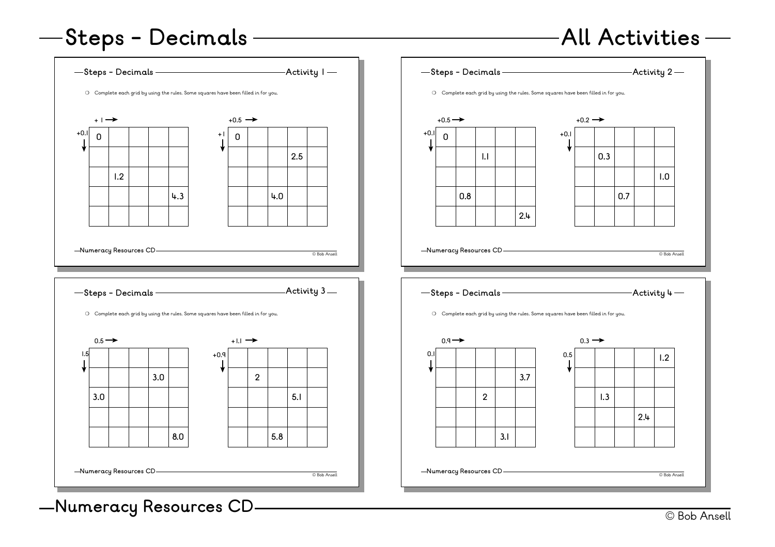#### **All Activities**

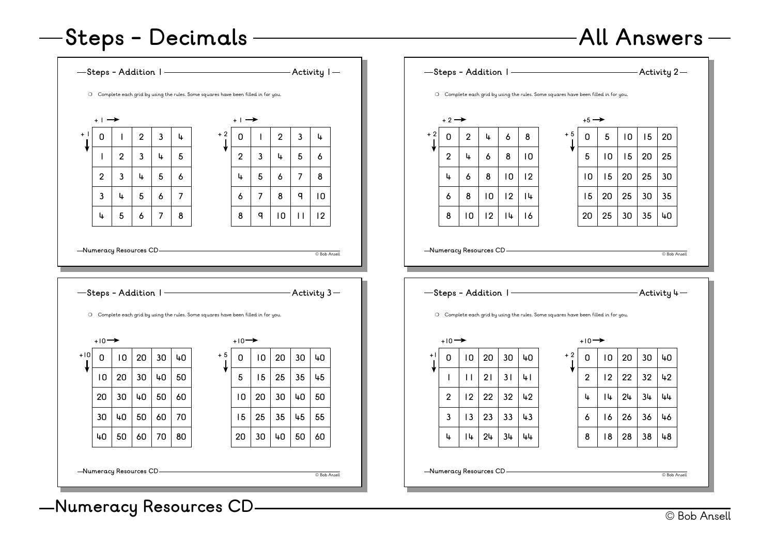#### **All Answers**

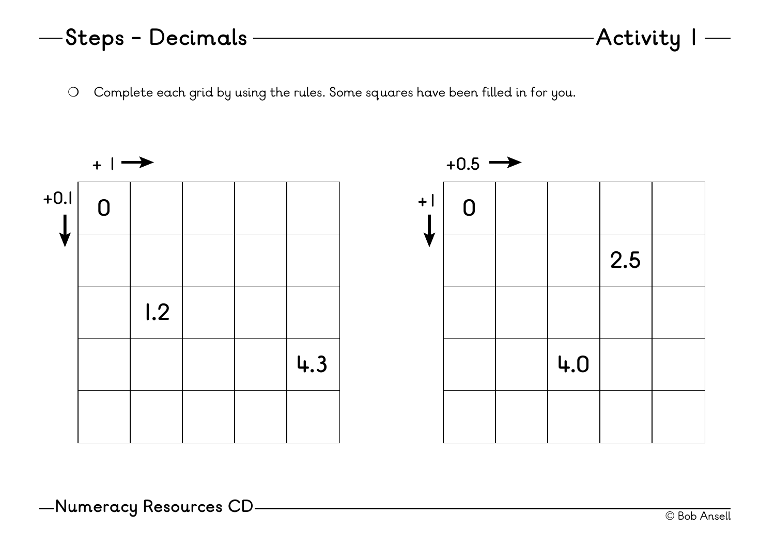❍ Complete each grid by using the rules. Some squares have been filled in for you.

![](_page_2_Figure_2.jpeg)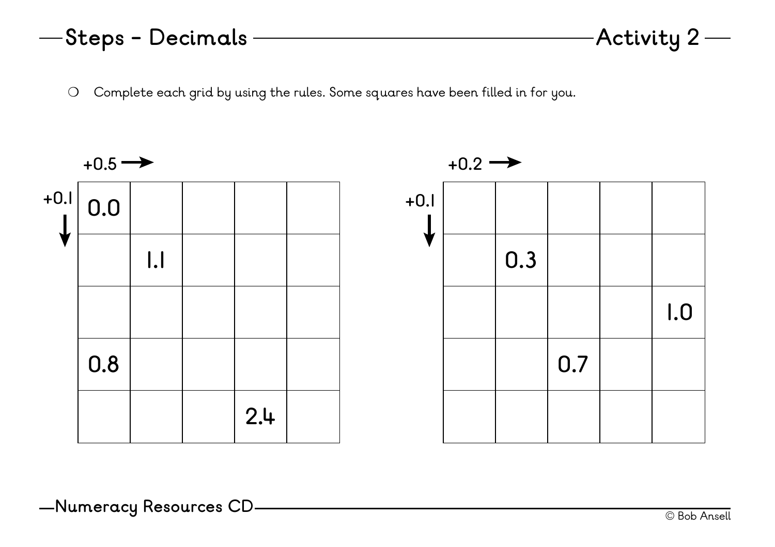❍ Complete each grid by using the rules. Some squares have been filled in for you.

![](_page_3_Figure_2.jpeg)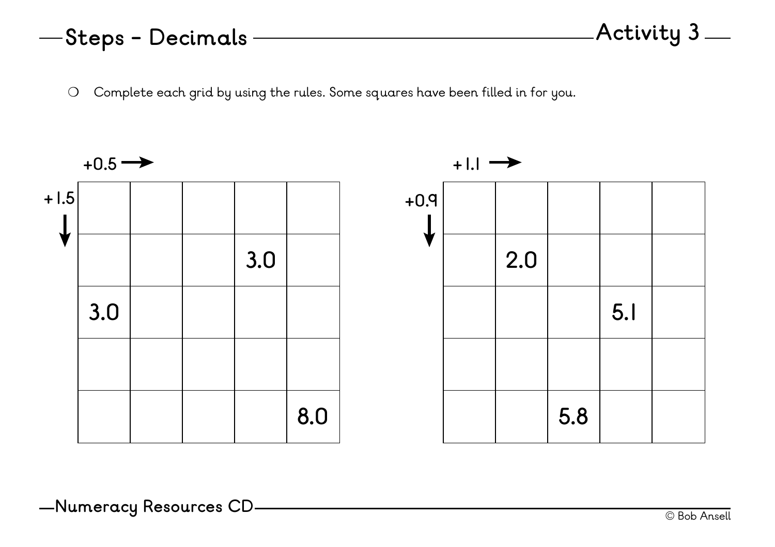❍ Complete each grid by using the rules. Some squares have been filled in for you.

![](_page_4_Figure_2.jpeg)